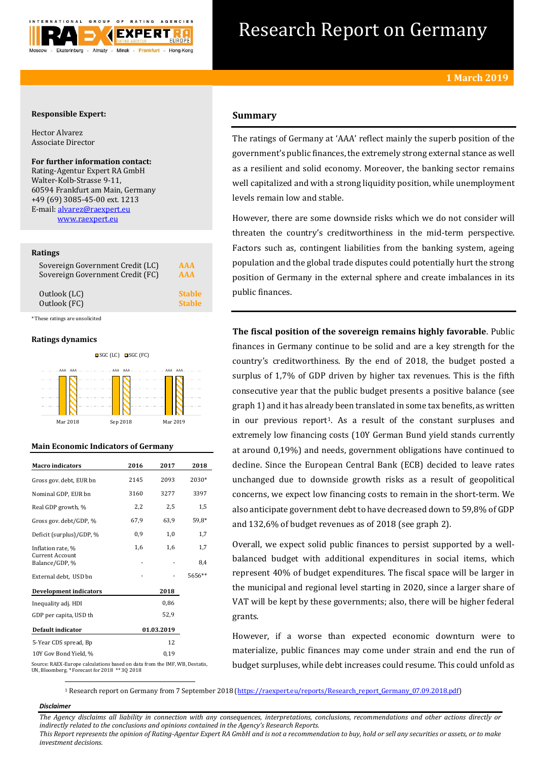

# Research Report on Germany

## **Responsible Expert:**

Hector Alvarez Associate Director

**For further information contact:** Rating-Agentur Expert RA GmbH Walter-Kolb-Strasse 9-11, 60594 Frankfurt am Main, Germany +49 (69) 3085-45-00 ext. 1213 E-mail: [alvarez@raexpert.eu](mailto:alvarez@raexpert.eu) [www.raexpert.eu](http://raexpert.eu/)

#### **Ratings**

| Sovereign Government Credit (LC) | AAA           |
|----------------------------------|---------------|
| Sovereign Government Credit (FC) | AAA           |
| Outlook (LC)                     | <b>Stable</b> |
| Outlook (FC)                     | <b>Stable</b> |

\* These ratings are unsolicited

#### **Ratings dynamics**



## **Main Economic Indicators of Germany**

| <b>Macro</b> indicators                                                    | 2016 | 2017       | 2018   |
|----------------------------------------------------------------------------|------|------------|--------|
| Gross gov. debt, EUR bn                                                    | 2145 | 2093       | 2030*  |
| Nominal GDP, EUR bn                                                        | 3160 | 3277       | 3397   |
| Real GDP growth, %                                                         | 2,2  | 2,5        | 1,5    |
| Gross gov. debt/GDP, %                                                     | 67,9 | 63,9       | 59,8*  |
| Deficit (surplus)/GDP, %                                                   | 0,9  | 1,0        | 1,7    |
| Inflation rate, %                                                          | 1,6  | 1,6        | 1,7    |
| Current Account<br>Balance/GDP, %                                          |      |            | 8,4    |
| External debt, USD bn                                                      |      |            | 5656** |
| <b>Development indicators</b>                                              |      | 2018       |        |
| Inequality adj. HDI                                                        |      | 0,86       |        |
| GDP per capita, USD th                                                     |      | 52,9       |        |
| Default indicator                                                          |      | 01.03.2019 |        |
| 5-Year CDS spread, Bp                                                      |      | 12         |        |
| 10Y Gov Bond Yield, %                                                      |      | 0,19       |        |
| Source: RAEX-Europe calculations based on data from the IMF, WB, Destatis, |      |            |        |

# **Summary**

The ratings of Germany at 'AAA' reflect mainly the superb position of the government's public finances, the extremely strong external stance as well as a resilient and solid economy. Moreover, the banking sector remains well capitalized and with a strong liquidity position, while unemployment levels remain low and stable.

However, there are some downside risks which we do not consider will threaten the country's creditworthiness in the mid-term perspective. Factors such as, contingent liabilities from the banking system, ageing population and the global trade disputes could potentially hurt the strong position of Germany in the external sphere and create imbalances in its public finances.

**The fiscal position of the sovereign remains highly favorable**. Public finances in Germany continue to be solid and are a key strength for the country's creditworthiness. By the end of 2018, the budget posted a surplus of 1,7% of GDP driven by higher tax revenues. This is the fifth consecutive year that the public budget presents a positive balance (see graph 1) and it has already been translated in some tax benefits, as written in our previous report1. As a result of the constant surpluses and extremely low financing costs (10Y German Bund yield stands currently at around 0,19%) and needs, government obligations have continued to decline. Since the European Central Bank (ECB) decided to leave rates unchanged due to downside growth risks as a result of geopolitical concerns, we expect low financing costs to remain in the short-term. We also anticipate government debt to have decreased down to 59,8% of GDP and 132,6% of budget revenues as of 2018 (see graph 2).

Overall, we expect solid public finances to persist supported by a wellbalanced budget with additional expenditures in social items, which represent 40% of budget expenditures. The fiscal space will be larger in the municipal and regional level starting in 2020, since a larger share of VAT will be kept by these governments; also, there will be higher federal grants.

However, if a worse than expected economic downturn were to materialize, public finances may come under strain and end the run of budget surpluses, while debt increases could resume. This could unfold as

UN, Bloomberg. \* Forecast for 2018 \*\* 3Q 2018

<sup>1</sup> Research report on Germany from 7 September 2018 [\(https://raexpert.eu/reports/Research\\_report\\_Germany\\_07.09.2018.pdf\)](https://raexpert.eu/reports/Research_report_Germany_07.09.2018.pdf)

#### *Disclaimer*

1

*The Agency disclaims all liability in connection with any consequences, interpretations, conclusions, recommendations and other actions directly or indirectly related to the conclusions and opinions contained in the Agency's Research Reports.*

*This Report represents the opinion of Rating-Agentur Expert RA GmbH and is not a recommendation to buy, hold or sell any securities or assets, or to make investment decisions.*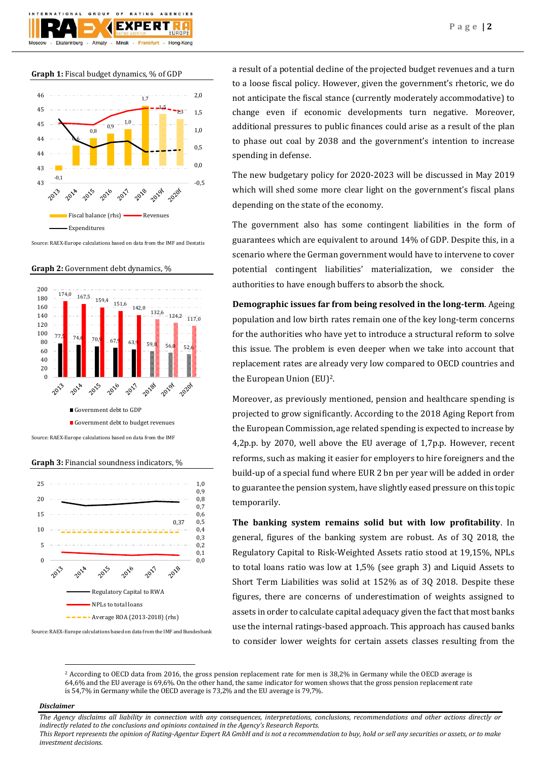

**Graph 1:** Fiscal budget dynamics, % of GDP



Source: RAEX-Europe calculations based on data from the IMF and Destatis

**Graph 2:** Government debt dynamics, %



**Graph 3:** Financial soundness indicators, %



Source: RAEX-Europe calculations based on data from the IMF and Bundesbank

a result of a potential decline of the projected budget revenues and a turn to a loose fiscal policy. However, given the government's rhetoric, we do not anticipate the fiscal stance (currently moderately accommodative) to change even if economic developments turn negative. Moreover, additional pressures to public finances could arise as a result of the plan to phase out coal by 2038 and the government's intention to increase spending in defense.

The new budgetary policy for 2020-2023 will be discussed in May 2019 which will shed some more clear light on the government's fiscal plans depending on the state of the economy.

The government also has some contingent liabilities in the form of guarantees which are equivalent to around 14% of GDP. Despite this, in a scenario where the German government would have to intervene to cover potential contingent liabilities' materialization, we consider the authorities to have enough buffers to absorb the shock.

**Demographic issues far from being resolved in the long-term**. Ageing population and low birth rates remain one of the key long-term concerns for the authorities who have yet to introduce a structural reform to solve this issue. The problem is even deeper when we take into account that replacement rates are already very low compared to OECD countries and the European Union (EU)2.

Moreover, as previously mentioned, pension and healthcare spending is projected to grow significantly. According to the 2018 Aging Report from the European Commission, age related spending is expected to increase by 4,2p.p. by 2070, well above the EU average of 1,7p.p. However, recent reforms, such as making it easier for employers to hire foreigners and the build-up of a special fund where EUR 2 bn per year will be added in order to guarantee the pension system, have slightly eased pressure on this topic temporarily.

**The banking system remains solid but with low profitability**. In general, figures of the banking system are robust. As of 3Q 2018, the Regulatory Capital to Risk-Weighted Assets ratio stood at 19,15%, NPLs to total loans ratio was low at 1,5% (see graph 3) and Liquid Assets to Short Term Liabilities was solid at 152% as of 3Q 2018. Despite these figures, there are concerns of underestimation of weights assigned to assets in order to calculate capital adequacy given the fact that most banks use the internal ratings-based approach. This approach has caused banks to consider lower weights for certain assets classes resulting from the

<sup>2</sup> According to OECD data from 2016, the gross pension replacement rate for men is 38,2% in Germany while the OECD average is 64,6% and the EU average is 69,6%. On the other hand, the same indicator for women shows that the gross pension replacement rate is 54,7% in Germany while the OECD average is 73,2% and the EU average is 79,7%.

#### *Disclaimer*

1

*The Agency disclaims all liability in connection with any consequences, interpretations, conclusions, recommendations and other actions directly or indirectly related to the conclusions and opinions contained in the Agency's Research Reports.*

*This Report represents the opinion of Rating-Agentur Expert RA GmbH and is not a recommendation to buy, hold or sell any securities or assets, or to make investment decisions.*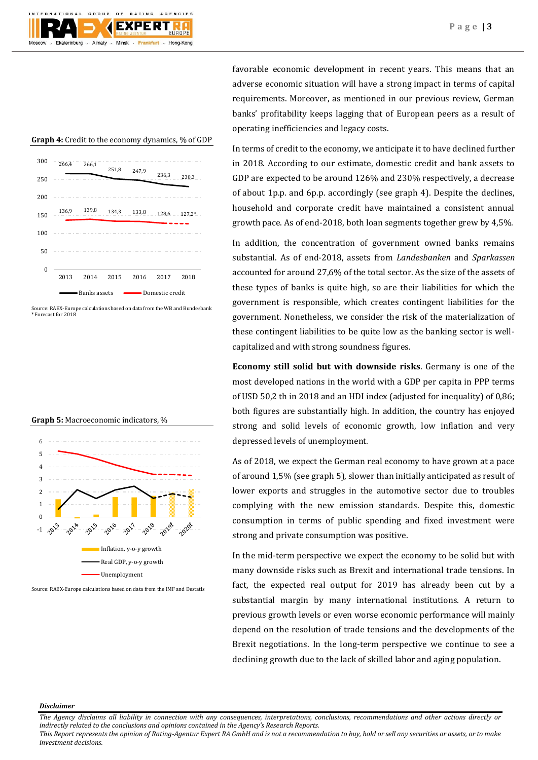# **Graph 4:** Credit to the economy dynamics, % of GDP 266,4 266,1  $251,8$   $2479$ 236,3 230,3  $136,9$   $139,8$   $134,3$   $133,8$   $128,6$   $127,2$ \*  $\Omega$ 50 100 150 200 250 300 2013 2014 2015 2016 2017 2018 Banks assets **Domestic credit**

Source: RAEX-Europe calculations based on data from the WB and Bundesbank \* Forecast for 2018

# **Graph 5:** Macroeconomic indicators, %



Source: RAEX-Europe calculations based on data from the IMF and Destatis

favorable economic development in recent years. This means that an adverse economic situation will have a strong impact in terms of capital requirements. Moreover, as mentioned in our previous review, German banks' profitability keeps lagging that of European peers as a result of operating inefficiencies and legacy costs.

In terms of credit to the economy, we anticipate it to have declined further in 2018. According to our estimate, domestic credit and bank assets to GDP are expected to be around 126% and 230% respectively, a decrease of about 1p.p. and 6p.p. accordingly (see graph 4). Despite the declines, household and corporate credit have maintained a consistent annual growth pace. As of end-2018, both loan segments together grew by 4,5%.

In addition, the concentration of government owned banks remains substantial. As of end-2018, assets from *Landesbanken* and *Sparkassen* accounted for around 27,6% of the total sector. As the size of the assets of these types of banks is quite high, so are their liabilities for which the government is responsible, which creates contingent liabilities for the government. Nonetheless, we consider the risk of the materialization of these contingent liabilities to be quite low as the banking sector is wellcapitalized and with strong soundness figures.

**Economy still solid but with downside risks**. Germany is one of the most developed nations in the world with a GDP per capita in PPP terms of USD 50,2 th in 2018 and an HDI index (adjusted for inequality) of 0,86; both figures are substantially high. In addition, the country has enjoyed strong and solid levels of economic growth, low inflation and very depressed levels of unemployment.

As of 2018, we expect the German real economy to have grown at a pace of around 1,5% (see graph 5), slower than initially anticipated as result of lower exports and struggles in the automotive sector due to troubles complying with the new emission standards. Despite this, domestic consumption in terms of public spending and fixed investment were strong and private consumption was positive.

In the mid-term perspective we expect the economy to be solid but with many downside risks such as Brexit and international trade tensions. In fact, the expected real output for 2019 has already been cut by a substantial margin by many international institutions. A return to previous growth levels or even worse economic performance will mainly depend on the resolution of trade tensions and the developments of the Brexit negotiations. In the long-term perspective we continue to see a declining growth due to the lack of skilled labor and aging population.

#### *Disclaimer*

*The Agency disclaims all liability in connection with any consequences, interpretations, conclusions, recommendations and other actions directly or indirectly related to the conclusions and opinions contained in the Agency's Research Reports.*

*This Report represents the opinion of Rating-Agentur Expert RA GmbH and is not a recommendation to buy, hold or sell any securities or assets, or to make investment decisions.*